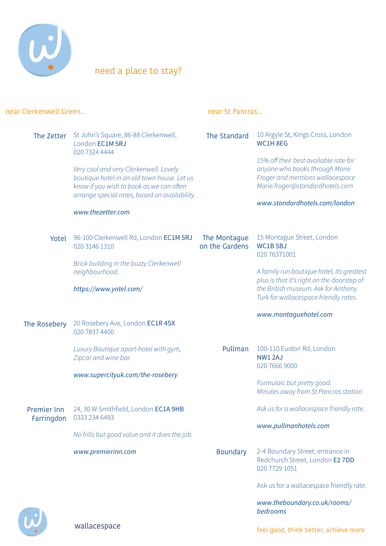

need a place to stay?

| near Clerkenwell Green           |                                                                                                                                          | near St Pancras                |                                                                                                                            |
|----------------------------------|------------------------------------------------------------------------------------------------------------------------------------------|--------------------------------|----------------------------------------------------------------------------------------------------------------------------|
| The Zetter                       | St John's Square, 86-88 Clerkenwell,<br>London EC1M 5RJ<br>020 7324 4444<br>Very cool and very Clerkenwell. Lovely                       | The Standard                   | 10 Argyle St, Kings Cross, London<br>WC1H8EG<br>15% off their best available rate for<br>anyone who books through Marie    |
|                                  | boutique hotel in an old town house. Let us<br>know if you wish to book as we can often<br>arrange special rates, based on availability. |                                | Froger and mentions wallacespace<br>Marie.froger@standardhotels.com                                                        |
|                                  | www.thezetter.com                                                                                                                        |                                | www.standardhotels.com/london                                                                                              |
| Yotel                            | 96-100 Clerkenwell Rd, London EC1M 5RJ<br>020 3146 1310                                                                                  | The Montague<br>on the Gardens | 15 Montague Street, London<br><b>WC1B 5BJ</b><br>020 76371001                                                              |
|                                  | Brick building in the buzzy Clerkenwell<br>neighbourhood.                                                                                |                                | A family run boutique hotel, its greatest                                                                                  |
|                                  | https://www.yotel.com/                                                                                                                   |                                | plus is that it's right on the doorstep of<br>the British museum. Ask for Anthony<br>Turk for wallacespace friendly rates. |
| The Rosebery                     | 20 Rosebery Ave, London EC1R 4SX<br>020 7837 4400                                                                                        |                                | www.montaguehotel.com                                                                                                      |
|                                  | Luxury Boutique apart-hotel with gym,<br>Zipcar and wine bar.                                                                            | Pullman                        | 100-110 Euston Rd, London<br><b>NW1 2AJ</b><br>020 7666 9000                                                               |
|                                  | www.supercityuk.com/the-rosebery                                                                                                         |                                | Formulaic but pretty good.<br>Minutes away from St Pancras station.                                                        |
| <b>Premier Inn</b><br>Farringdon | 24, 30 W Smithfield, London EC1A 9HB<br>0333 234 6493                                                                                    |                                | Ask us for a wallacespace friendly rate.                                                                                   |
|                                  | No frills but good value and it does the job.                                                                                            |                                | www.pullmanhotels.com                                                                                                      |
|                                  | www.premierinn.com                                                                                                                       | <b>Boundary</b>                | 2-4 Boundary Street, entrance in<br>Redchurch Street, London E2 7DD<br>020 7729 1051                                       |
|                                  |                                                                                                                                          |                                | Ask us for a wallacespace friendly rate.                                                                                   |
|                                  |                                                                                                                                          |                                | www.theboundary.co.uk/rooms/<br>bedrooms                                                                                   |

wallacespace

feel good, think better, achieve more